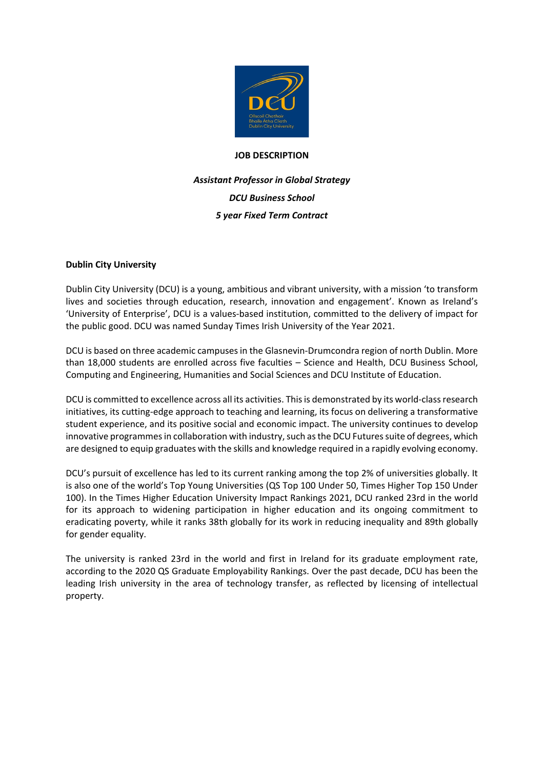

#### **JOB DESCRIPTION**

# *Assistant Professor in Global Strategy DCU Business School 5 year Fixed Term Contract*

## **Dublin City University**

Dublin City University (DCU) is a young, ambitious and vibrant university, with a mission 'to transform lives and societies through education, research, innovation and engagement'. Known as Ireland's 'University of Enterprise', DCU is a values-based institution, committed to the delivery of impact for the public good. DCU was named Sunday Times Irish University of the Year 2021.

DCU is based on three academic campuses in the Glasnevin-Drumcondra region of north Dublin. More than 18,000 students are enrolled across five faculties – Science and Health, DCU Business School, Computing and Engineering, Humanities and Social Sciences and DCU Institute of Education.

DCU is committed to excellence across all its activities. This is demonstrated by its world-class research initiatives, its cutting-edge approach to teaching and learning, its focus on delivering a transformative student experience, and its positive social and economic impact. The university continues to develop innovative programmes in collaboration with industry, such as the DCU Futures suite of degrees, which are designed to equip graduates with the skills and knowledge required in a rapidly evolving economy.

DCU's pursuit of excellence has led to its current ranking among the top 2% of universities globally. It is also one of the world's Top Young Universities (QS Top 100 Under 50, Times Higher Top 150 Under 100). In the Times Higher Education University Impact Rankings 2021, DCU ranked 23rd in the world for its approach to widening participation in higher education and its ongoing commitment to eradicating poverty, while it ranks 38th globally for its work in reducing inequality and 89th globally for gender equality.

The university is ranked 23rd in the world and first in Ireland for its graduate employment rate, according to the 2020 QS Graduate Employability Rankings. Over the past decade, DCU has been the leading Irish university in the area of technology transfer, as reflected by licensing of intellectual property.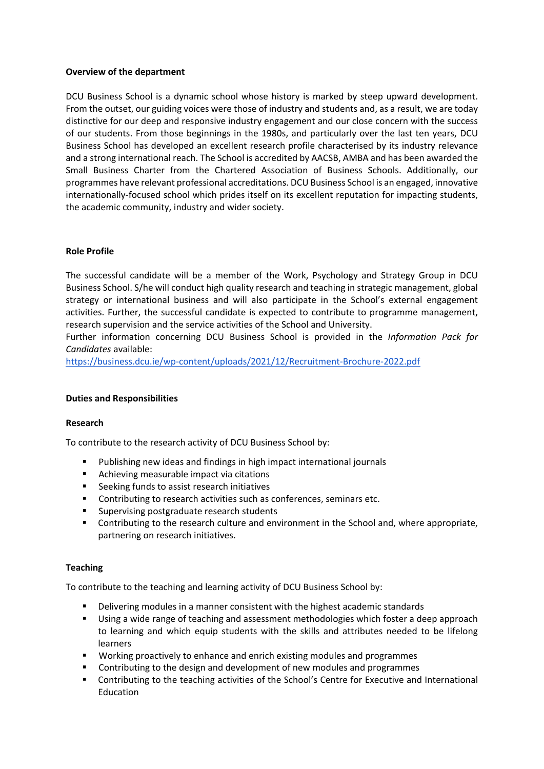### **Overview of the department**

DCU Business School is a dynamic school whose history is marked by steep upward development. From the outset, our guiding voices were those of industry and students and, as a result, we are today distinctive for our deep and responsive industry engagement and our close concern with the success of our students. From those beginnings in the 1980s, and particularly over the last ten years, DCU Business School has developed an excellent research profile characterised by its industry relevance and a strong international reach. The School is accredited by AACSB, AMBA and has been awarded the Small Business Charter from the Chartered Association of Business Schools. Additionally, our programmes have relevant professional accreditations. DCU Business School is an engaged, innovative internationally-focused school which prides itself on its excellent reputation for impacting students, the academic community, industry and wider society.

## **Role Profile**

The successful candidate will be a member of the Work, Psychology and Strategy Group in DCU Business School. S/he will conduct high quality research and teaching in strategic management, global strategy or international business and will also participate in the School's external engagement activities. Further, the successful candidate is expected to contribute to programme management, research supervision and the service activities of the School and University.

Further information concerning DCU Business School is provided in the *Information Pack for Candidates* available:

<https://business.dcu.ie/wp-content/uploads/2021/12/Recruitment-Brochure-2022.pdf>

#### **Duties and Responsibilities**

#### **Research**

To contribute to the research activity of DCU Business School by:

- Publishing new ideas and findings in high impact international journals
- **Achieving measurable impact via citations**
- Seeking funds to assist research initiatives
- **Contributing to research activities such as conferences, seminars etc.**
- **Supervising postgraduate research students**
- Contributing to the research culture and environment in the School and, where appropriate, partnering on research initiatives.

#### **Teaching**

To contribute to the teaching and learning activity of DCU Business School by:

- Delivering modules in a manner consistent with the highest academic standards
- Using a wide range of teaching and assessment methodologies which foster a deep approach to learning and which equip students with the skills and attributes needed to be lifelong learners
- **Working proactively to enhance and enrich existing modules and programmes**
- Contributing to the design and development of new modules and programmes
- **EXECONTERGHT CONTERGIVE THE CONTERGIVE CONTERGIVE CONTERGIVE CONTERGIVE THE CONTERGIVE CONTERGIVE CONTERGIVE CONTERGIVED I** Education